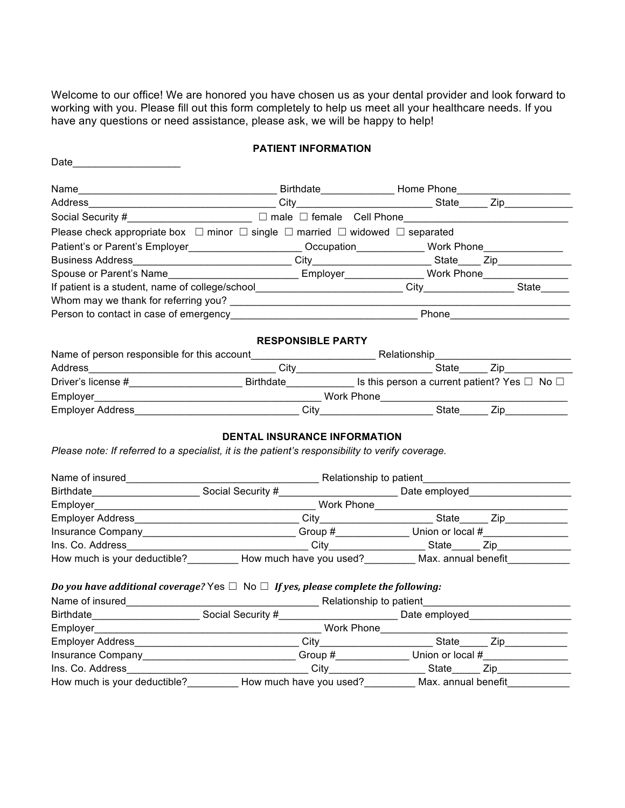Welcome to our office! We are honored you have chosen us as your dental provider and look forward to working with you. Please fill out this form completely to help us meet all your healthcare needs. If you have any questions or need assistance, please ask, we will be happy to help!

## **PATIENT INFORMATION**

| Date_                                                                                                         |                                     |  |  |
|---------------------------------------------------------------------------------------------------------------|-------------------------------------|--|--|
|                                                                                                               |                                     |  |  |
|                                                                                                               |                                     |  |  |
| Social Security #________________________________ □ male □ female Cell Phone_______________________           |                                     |  |  |
| Please check appropriate box $\Box$ minor $\Box$ single $\Box$ married $\Box$ widowed $\Box$ separated        |                                     |  |  |
| Patient's or Parent's Employer________________________Occupation_____________Work Phone__________________     |                                     |  |  |
|                                                                                                               |                                     |  |  |
| Spouse or Parent's Name_________________________________Employer_______________Work Phone____________________ |                                     |  |  |
|                                                                                                               |                                     |  |  |
|                                                                                                               |                                     |  |  |
|                                                                                                               |                                     |  |  |
|                                                                                                               |                                     |  |  |
|                                                                                                               | <b>RESPONSIBLE PARTY</b>            |  |  |
|                                                                                                               |                                     |  |  |
|                                                                                                               |                                     |  |  |
|                                                                                                               |                                     |  |  |
|                                                                                                               |                                     |  |  |
|                                                                                                               |                                     |  |  |
| Please note: If referred to a specialist, it is the patient's responsibility to verify coverage.              | <b>DENTAL INSURANCE INFORMATION</b> |  |  |
|                                                                                                               |                                     |  |  |
|                                                                                                               |                                     |  |  |
|                                                                                                               |                                     |  |  |
| Insurance Company______________________________Group #_______________Union or local #_______________          |                                     |  |  |
|                                                                                                               |                                     |  |  |
| How much is your deductible? ___________ How much have you used? __________ Max. annual benefit___________    |                                     |  |  |
|                                                                                                               |                                     |  |  |
| Do you have additional coverage? Yes $\Box$ No $\Box$ If yes, please complete the following:                  |                                     |  |  |
|                                                                                                               |                                     |  |  |
|                                                                                                               |                                     |  |  |
| Employer                                                                                                      |                                     |  |  |
|                                                                                                               |                                     |  |  |
| Insurance Company_______________________________Group #_______________Union or local #______________          |                                     |  |  |
|                                                                                                               |                                     |  |  |
|                                                                                                               |                                     |  |  |